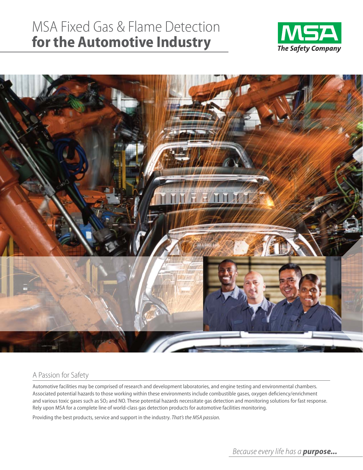# MSA Fixed Gas & Flame Detection **for the Automotive Industry**





### A Passion for Safety

Automotive facilities may be comprised of research and development laboratories, and engine testing and environmental chambers. Associated potential hazards to those working within these environments include combustible gases, oxygen deficiency/enrichment and various toxic gases such as SO<sub>2</sub> and NO. These potential hazards necessitate gas detection and monitoring solutions for fast response. Rely upon MSA for a complete line of world-class gas detection products for automotive facilities monitoring.

Providing the best products, service and support in the industry. *That's the MSA passion.*

*Because every life has a purpose...*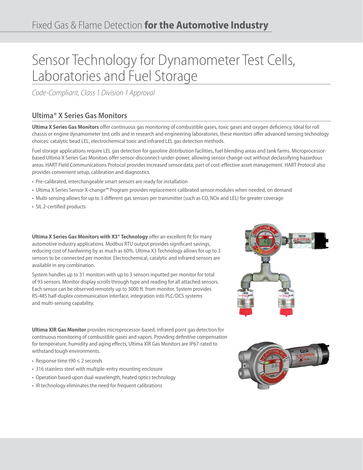# Sensor Technology for Dynamometer Test Cells, Laboratories and Fuel Storage

*Code-Compliant, Class 1 Division 1 Approval*

### **Ultima® X Series Gas Monitors**

**Ultima X Series Gas Monitors** offer continuous gas monitoring of combustible gases, toxic gases and oxygen deficiency. Ideal for roll chassis or engine dynamometer test cells and in research and engineering laboratories, these monitors offer advanced sensing technology choices: catalytic bead LEL, electrochemical toxic and infrared LEL gas detection methods.

Fuel storage applications require LEL gas detection for gasoline distribution facilities, fuel blending areas and tank farms. Microprocessorbased Ultima X Series Gas Monitors offer sensor-disconnect-under-power, allowing sensor change-out without declassifying hazardous areas. HART Field Communications Protocol provides increased sensor data, part of cost-effective asset management. HART Protocol also provides convenient setup, calibration and diagnostics.

- Pre-calibrated, interchangeable smart sensors are ready for installation
- Ultima X Series Sensor X-change™ Program provides replacement calibrated sensor modules when needed, on demand
- Multi-sensing allows for up to 3 different gas sensors per transmitter (such as CO, NOx and LEL) for greater coverage
- SIL 2-certified products

**Ultima X Series Gas Monitors with X3® Technology** offer an excellent fit for many automotive industry applications. Modbus RTU output provides significant savings, reducing cost of hardwiring by as much as 60%. Ultima X3 Technology allows for up to 3 sensors to be connected per monitor. Electrochemical, catalytic and infrared sensors are available in any combination.

System handles up to 31 monitors with up to 3 sensors inputted per monitor for total of 93 sensors. Monitor display scrolls through type and reading for all attached sensors. Each sensor can be observed remotely up to 3000 ft. from monitor. System provides RS-485 half-duplex communication interface, integration into PLC/DCS systems and multi-sensing capability.

**Ultima XIR Gas Monitor** provides microprocessor-based, infrared point gas detection for continuous monitoring of combustible gases and vapors. Providing definitive compensation for temperature, humidity and aging effects, Ultima XIR Gas Monitors are IP67-rated to withstand tough environments.

- Response time t90 ≤ 2 seconds
- 316 stainless steel with multiple-entry mounting enclosure
- Operation based upon dual-wavelength, heated optics technology
- IR technology eliminates the need for frequent calibrations



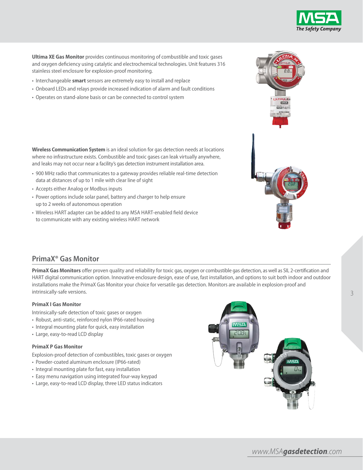

**Ultima XE Gas Monitor** provides continuous monitoring of combustible and toxic gases and oxygen deficiency using catalytic and electrochemical technologies. Unit features 316 stainless steel enclosure for explosion-proof monitoring.

- Interchangeable **smart** sensors are extremely easy to install and replace
- Onboard LEDs and relays provide increased indication of alarm and fault conditions
- Operates on stand-alone basis or can be connected to control system

**Wireless Communication System** is an ideal solution for gas detection needs at locations where no infrastructure exists. Combustible and toxic gases can leak virtually anywhere, and leaks may not occur near a facility's gas detection instrument installation area.

- 900 MHz radio that communicates to a gateway provides reliable real-time detection data at distances of up to 1 mile with clear line of sight
- Accepts either Analog or Modbus inputs
- Power options include solar panel, battery and charger to help ensure up to 2 weeks of autonomous operation
- Wireless HART adapter can be added to any MSA HART-enabled field device to communicate with any existing wireless HART network

### **PrimaX® Gas Monitor**

**PrimaX Gas Monitors** offer proven quality and reliability for toxic gas, oxygen or combustible gas detection, as well as SIL 2-certification and HART digital communication option. Innovative enclosure design, ease of use, fast installation, and options to suit both indoor and outdoor installations make the PrimaX Gas Monitor your choice for versatile gas detection. Monitors are available in explosion-proof and intrinsically-safe versions.

#### **PrimaX I Gas Monitor**

Intrinsically-safe detection of toxic gases or oxygen

- Robust, anti-static, reinforced nylon IP66-rated housing
- Integral mounting plate for quick, easy installation
- Large, easy-to-read LCD display

#### **PrimaX P Gas Monitor**

Explosion-proof detection of combustibles, toxic gases or oxygen

- Powder-coated aluminum enclosure (IP66-rated)
- Integral mounting plate for fast, easy installation
- Easy menu navigation using integrated four-way keypad
- Large, easy-to-read LCD display, three LED status indicators



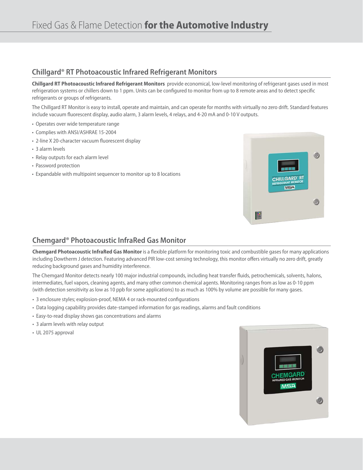### **Chillgard® RT Photoacoustic Infrared Refrigerant Monitors**

**Chillgard RT Photoacoustic Infrared Refrigerant Monitors** provide economical, low-level monitoring of refrigerant gases used in most refrigeration systems or chillers down to 1 ppm. Units can be configured to monitor from up to 8 remote areas and to detect specific refrigerants or groups of refrigerants.

The Chillgard RT Monitor is easy to install, operate and maintain, and can operate for months with virtually no zero drift. Standard features include vacuum fluorescent display, audio alarm, 3 alarm levels, 4 relays, and 4-20 mA and 0-10 V outputs.

- Operates over wide temperature range
- Complies with ANSI/ASHRAE 15-2004
- 2-line X 20-character vacuum fluorescent display
- 3 alarm levels
- Relay outputs for each alarm level
- Password protection
- Expandable with multipoint sequencer to monitor up to 8 locations



## **Chemgard® Photoacoustic InfraRed Gas Monitor**

**Chemgard Photoacoustic InfraRed Gas Monitor** is a flexible platform for monitoring toxic and combustible gases for many applications including Dowtherm J detection. Featuring advanced PIR low-cost sensing technology, this monitor offers virtually no zero drift, greatly reducing background gases and humidity interference.

The Chemgard Monitor detects nearly 100 major industrial compounds, including heat transfer fluids, petrochemicals, solvents, halons, intermediates, fuel vapors, cleaning agents, and many other common chemical agents. Monitoring ranges from as low as 0-10 ppm (with detection sensitivity as low as 10 ppb for some applications) to as much as 100% by volume are possible for many gases.

- 3 enclosure styles; explosion-proof, NEMA 4 or rack-mounted configurations
- Data logging capability provides date-stamped information for gas readings, alarms and fault conditions
- Easy-to-read display shows gas concentrations and alarms
- 3 alarm levels with relay output
- UL 2075 approval

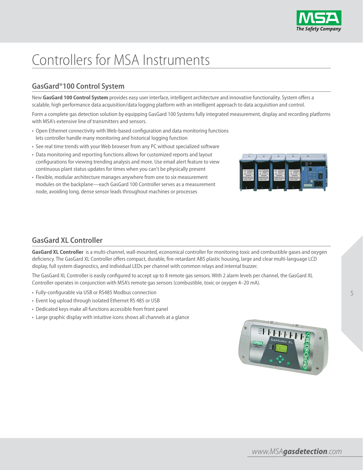

# Controllers for MSA Instruments

## **GasGard®100 Control System**

New **GasGard 100 Control System** provides easy user interface, intelligent architecture and innovative functionality. System offers a scalable, high performance data acquisition/data logging platform with an intelligent approach to data acquisition and control.

Form a complete gas detection solution by equipping GasGard 100 Systems fully integrated measurement, display and recording platforms with MSA's extensive line of transmitters and sensors.

- Open Ethernet connectivity with Web-based configuration and data monitoring functions lets controller handle many monitoring and historical logging function
- See real time trends with your Web browser from any PC without specialized software
- Data monitoring and reporting functions allows for customized reports and layout configurations for viewing trending analysis and more. Use email alert feature to view continuous plant status updates for times when you can't be physically present
- Flexible, modular architecture manages anywhere from one to six measurement modules on the backplane—each GasGard 100 Controller serves as a measurement node, avoiding long, dense sensor leads throughout machines or processes



## **GasGard XL Controller**

**GasGard XL Controller** is a multi-channel, wall-mounted, economical controller for monitoring toxic and combustible gases and oxygen deficiency. The GasGard XL Controller offers compact, durable, fire-retardant ABS plastic housing, large and clear multi-language LCD display, full system diagnostics, and individual LEDs per channel with common relays and internal buzzer.

The GasGard XL Controller is easily configured to accept up to 8 remote gas sensors. With 2 alarm levels per channel, the GasGard XL Controller operates in conjunction with MSA's remote gas sensors (combustible, toxic or oxygen 4–20 mA).

- Fully-configurable via USB or RS485 Modbus connection
- Event log upload through isolated Ethernet RS 485 or USB
- Dedicated keys make all functions accessible from front panel
- Large graphic display with intuitive icons shows all channels at a glance



5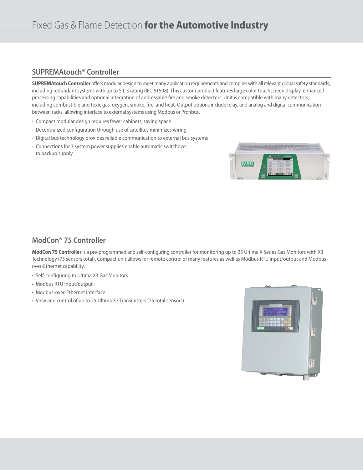### **SUPREMAtouch® Controller**

**SUPREMAtouch Controller** offers modular design to meet many application requirements and complies with all relevant global safety standards, including redundant systems with up to SIL 3 rating (IEC 61508). This custom product features large color touchscreen display, enhanced processing capabilities and optional integration of addressable fire and smoke detectors. Unit is compatible with many detectors, including combustible and toxic gas, oxygen, smoke, fire, and heat. Output options include relay, and analog and digital communication between racks, allowing interface to external systems using Modbus or Profibus.

- · Compact modular design requires fewer cabinets, saving space
- · Decentralized configuration through use of satellites minimizes wiring
- · Digital bus technology provides reliable communication to external bus systems
- · Connections for 3 system power supplies enable automatic switchover to backup supply



## **ModCon® 75 Controller**

**ModCon 75 Controller**is a pre-programmed and self-configuring controller for monitoring up to 25 Ultima X Series Gas Monitors with X3 Technology (75 sensors total). Compact unit allows for remote control of many features as well as Modbus RTU input/output and Modbusover-Ethernet capability.

- Self-configuring to Ultima X3 Gas Monitors
- Modbus RTU input/output
- Modbus-over-Ethernet interface
- View and control of up to 25 Ultima X3 Transmitters (75 total sensors)

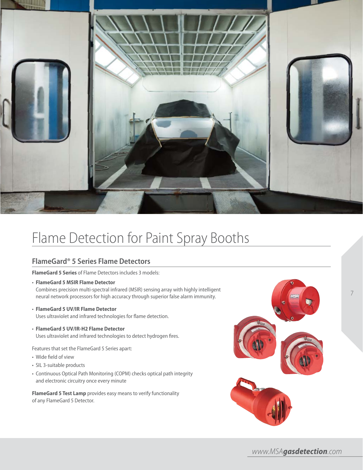

# Flame Detection for Paint Spray Booths

### **FlameGard® 5 Series Flame Detectors**

**FlameGard 5 Series** of Flame Detectors includes 3 models:

- **FlameGard 5 MSIR Flame Detector** Combines precision multi-spectral infrared (MSIR) sensing array with highly intelligent neural network processors for high accuracy through superior false alarm immunity.
- **FlameGard 5 UV/IR Flame Detector** Uses ultraviolet and infrared technologies for flame detection.
- **FlameGard 5 UV/IR-H2 Flame Detector** Uses ultraviolet and infrared technologies to detect hydrogen fires.

Features that set the FlameGard 5 Series apart:

- Wide field of view
- SIL 3-suitable products
- Continuous Optical Path Monitoring (COPM) checks optical path integrity and electronic circuitry once every minute

**FlameGard 5 Test Lamp** provides easy means to verify functionality of any FlameGard 5 Detector.



*www.MSAgasdetection.com*